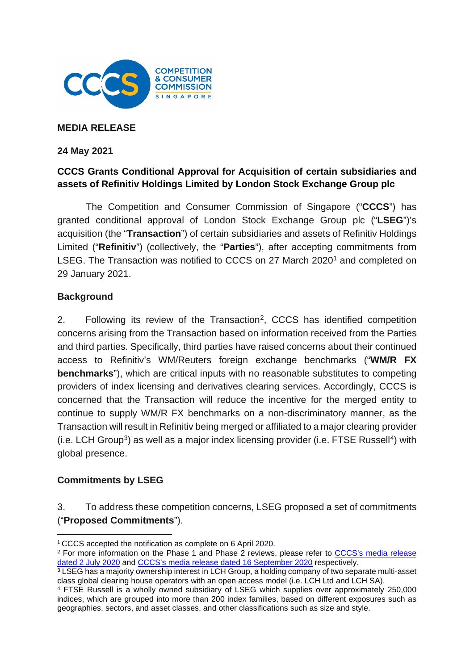

### **MEDIA RELEASE**

### **24 May 2021**

## **CCCS Grants Conditional Approval for Acquisition of certain subsidiaries and assets of Refinitiv Holdings Limited by London Stock Exchange Group plc**

The Competition and Consumer Commission of Singapore ("**CCCS**") has granted conditional approval of London Stock Exchange Group plc ("**LSEG**")'s acquisition (the "**Transaction**") of certain subsidiaries and assets of Refinitiv Holdings Limited ("**Refinitiv**") (collectively, the "**Parties**"), after accepting commitments from LSEG. The Transaction was notified to CCCS on 27 March 2020<sup>[1](#page-0-0)</sup> and completed on 29 January 2021.

### **Background**

[2](#page-0-1). Following its review of the Transaction<sup>2</sup>, CCCS has identified competition concerns arising from the Transaction based on information received from the Parties and third parties. Specifically, third parties have raised concerns about their continued access to Refinitiv's WM/Reuters foreign exchange benchmarks ("**WM/R FX benchmarks**"), which are critical inputs with no reasonable substitutes to competing providers of index licensing and derivatives clearing services. Accordingly, CCCS is concerned that the Transaction will reduce the incentive for the merged entity to continue to supply WM/R FX benchmarks on a non-discriminatory manner, as the Transaction will result in Refinitiv being merged or affiliated to a major clearing provider  $(i.e.$  LCH Group<sup>[3](#page-0-2)</sup>) as well as a major index licensing provider (i.e. FTSE Russell<sup>4</sup>) with global presence.

## **Commitments by LSEG**

3. To address these competition concerns, LSEG proposed a set of commitments ("**Proposed Commitments**").

<span id="page-0-0"></span><sup>1</sup> CCCS accepted the notification as complete on 6 April 2020.

<span id="page-0-1"></span><sup>2</sup> For more information on the Phase 1 and Phase 2 reviews, please refer to [CCCS's media release](https://www.cccs.gov.sg/media-and-consultation/newsroom/media-releases/lseg-acquisition-of-refinitiv-phase-2)  [dated 2 July 2020](https://www.cccs.gov.sg/media-and-consultation/newsroom/media-releases/lseg-acquisition-of-refinitiv-phase-2) and [CCCS's media release dated 16 September 2020](https://www.cccs.gov.sg/media-and-consultation/newsroom/media-releases/lseg-refinitiv-in-depth-review-public-consult) respectively.

<span id="page-0-2"></span> $3$  LSEG has a majority ownership interest in LCH Group, a holding company of two separate multi-asset class global clearing house operators with an open access model (i.e. LCH Ltd and LCH SA).

<span id="page-0-3"></span><sup>4</sup> FTSE Russell is a wholly owned subsidiary of LSEG which supplies over approximately 250,000 indices, which are grouped into more than 200 index families, based on different exposures such as geographies, sectors, and asset classes, and other classifications such as size and style.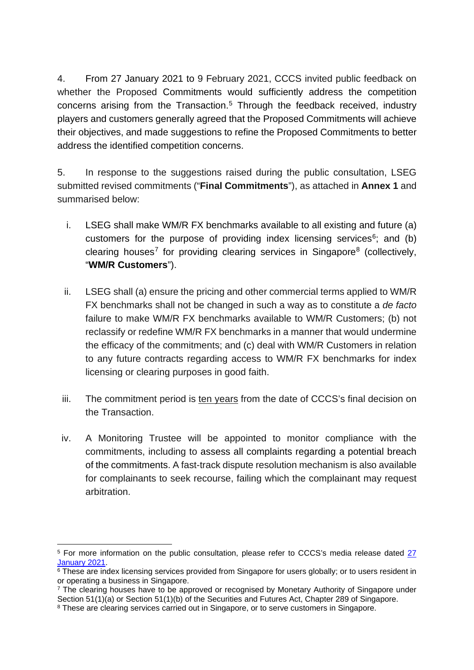4. From 27 January 2021 to 9 February 2021, CCCS invited public feedback on whether the Proposed Commitments would sufficiently address the competition concerns arising from the Transaction.<sup>[5](#page-1-0)</sup> Through the feedback received, industry players and customers generally agreed that the Proposed Commitments will achieve their objectives, and made suggestions to refine the Proposed Commitments to better address the identified competition concerns.

5. In response to the suggestions raised during the public consultation, LSEG submitted revised commitments ("**Final Commitments**"), as attached in **Annex 1** and summarised below:

- i. LSEG shall make WM/R FX benchmarks available to all existing and future (a) customers for the purpose of providing index licensing services $6$ ; and (b) clearing houses<sup>[7](#page-1-2)</sup> for providing clearing services in Singapore<sup>[8](#page-1-3)</sup> (collectively, "**WM/R Customers**").
- ii. LSEG shall (a) ensure the pricing and other commercial terms applied to WM/R FX benchmarks shall not be changed in such a way as to constitute a *de facto* failure to make WM/R FX benchmarks available to WM/R Customers; (b) not reclassify or redefine WM/R FX benchmarks in a manner that would undermine the efficacy of the commitments; and (c) deal with WM/R Customers in relation to any future contracts regarding access to WM/R FX benchmarks for index licensing or clearing purposes in good faith.
- iii. The commitment period is ten years from the date of CCCS's final decision on the Transaction.
- iv. A Monitoring Trustee will be appointed to monitor compliance with the commitments, including to assess all complaints regarding a potential breach of the commitments. A fast-track dispute resolution mechanism is also available for complainants to seek recourse, failing which the complainant may request arbitration.

<span id="page-1-0"></span><sup>5</sup> For more information on the public consultation, please refer to CCCS's media release dated [27](https://www.cccs.gov.sg/media-and-consultation/newsroom/media-releases/lseg-and-refinitiv-public-consult-on-commitments-27-jan-2021)  [January 2021.](https://www.cccs.gov.sg/media-and-consultation/newsroom/media-releases/lseg-and-refinitiv-public-consult-on-commitments-27-jan-2021)

<span id="page-1-1"></span> $\overline{6}$  These are index licensing services provided from Singapore for users globally; or to users resident in or operating a business in Singapore.

<span id="page-1-2"></span><sup>7</sup> The clearing houses have to be approved or recognised by Monetary Authority of Singapore under Section 51(1)(a) or Section 51(1)(b) of the Securities and Futures Act, Chapter 289 of Singapore.

<span id="page-1-3"></span><sup>&</sup>lt;sup>8</sup> These are clearing services carried out in Singapore, or to serve customers in Singapore.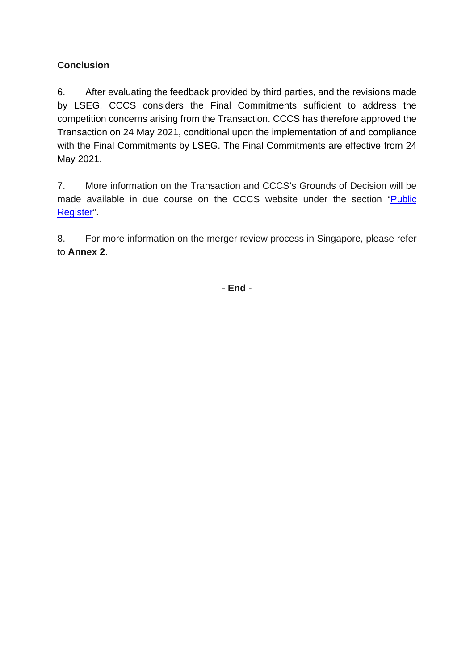## **Conclusion**

6. After evaluating the feedback provided by third parties, and the revisions made by LSEG, CCCS considers the Final Commitments sufficient to address the competition concerns arising from the Transaction. CCCS has therefore approved the Transaction on 24 May 2021, conditional upon the implementation of and compliance with the Final Commitments by LSEG. The Final Commitments are effective from 24 May 2021.

7. More information on the Transaction and CCCS's Grounds of Decision will be made available in due course on the CCCS website under the section ["Public](https://www.cccs.gov.sg/cases-and-commitments/public-register/mergers-and-acquisitions)  [Register"](https://www.cccs.gov.sg/cases-and-commitments/public-register/mergers-and-acquisitions).

8. For more information on the merger review process in Singapore, please refer to **Annex 2**.

- **End** -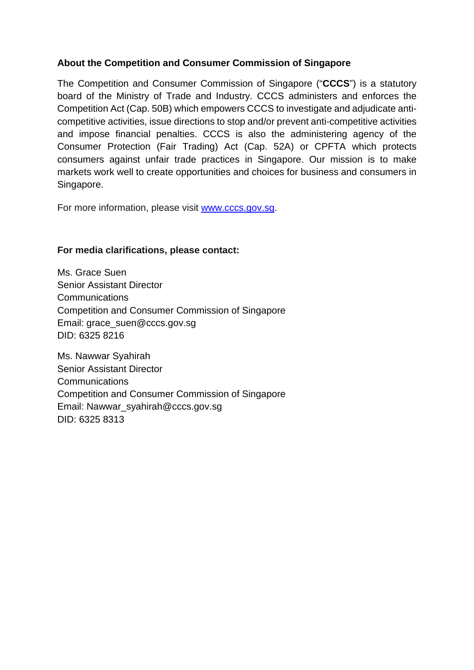## **About the Competition and Consumer Commission of Singapore**

The Competition and Consumer Commission of Singapore ("**CCCS**") is a statutory board of the Ministry of Trade and Industry. CCCS administers and enforces the Competition Act (Cap. 50B) which empowers CCCS to investigate and adjudicate anticompetitive activities, issue directions to stop and/or prevent anti-competitive activities and impose financial penalties. CCCS is also the administering agency of the Consumer Protection (Fair Trading) Act (Cap. 52A) or CPFTA which protects consumers against unfair trade practices in Singapore. Our mission is to make markets work well to create opportunities and choices for business and consumers in Singapore.

For more information, please visit [www.cccs.gov.sg.](http://www.cccs.gov.sg/)

## **For media clarifications, please contact:**

Ms. Grace Suen Senior Assistant Director **Communications** Competition and Consumer Commission of Singapore Email: grace\_suen@cccs.gov.sg DID: 6325 8216

Ms. Nawwar Syahirah Senior Assistant Director Communications Competition and Consumer Commission of Singapore Email: Nawwar\_syahirah@cccs.gov.sg DID: 6325 8313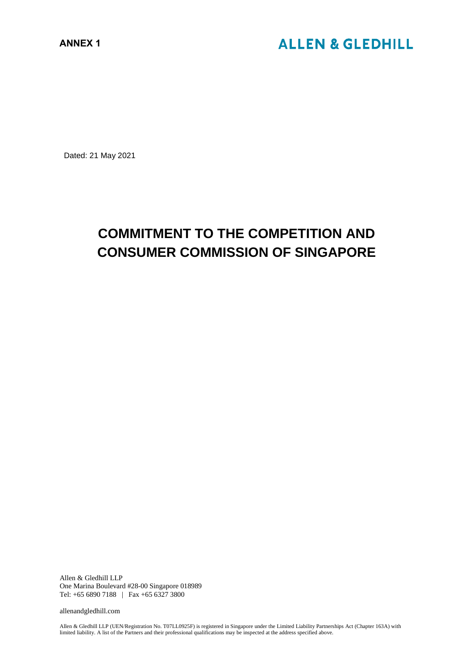Dated: 21 May 2021

# **COMMITMENT TO THE COMPETITION AND CONSUMER COMMISSION OF SINGAPORE**

Allen & Gledhill LLP One Marina Boulevard #28-00 Singapore 018989 Tel: +65 6890 7188 | Fax +65 6327 3800

allenandgledhill.com

Allen & Gledhill LLP (UEN/Registration No. T07LL0925F) is registered in Singapore under the Limited Liability Partnerships Act (Chapter 163A) with limited liability. A list of the Partners and their professional qualifications may be inspected at the address specified above.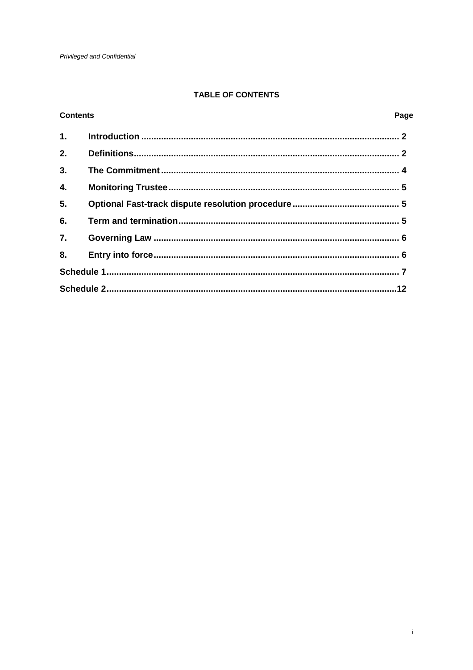## TABLE OF CONTENTS

#### **Contents**

### Page

| 1. |  |  |  |
|----|--|--|--|
| 2. |  |  |  |
| 3. |  |  |  |
| 4. |  |  |  |
| 5. |  |  |  |
| 6. |  |  |  |
| 7. |  |  |  |
| 8. |  |  |  |
|    |  |  |  |
|    |  |  |  |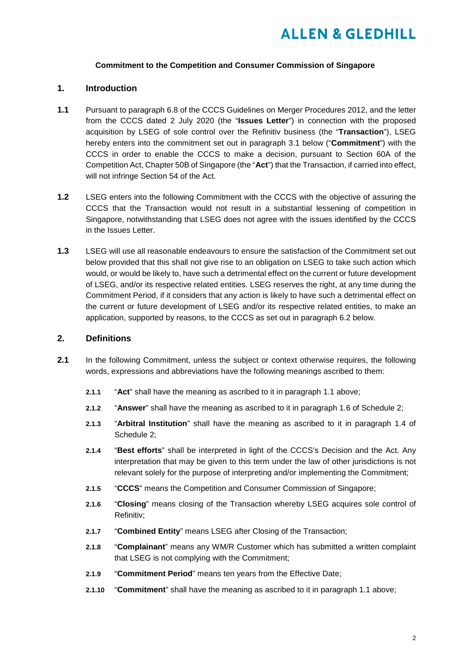#### **Commitment to the Competition and Consumer Commission of Singapore**

#### **1. Introduction**

- **1.1** Pursuant to paragraph 6.8 of the CCCS Guidelines on Merger Procedures 2012, and the letter from the CCCS dated 2 July 2020 (the "**Issues Letter**") in connection with the proposed acquisition by LSEG of sole control over the Refinitiv business (the "**Transaction**"), LSEG hereby enters into the commitment set out in paragraph 3.1 below ("**Commitment**") with the CCCS in order to enable the CCCS to make a decision, pursuant to Section 60A of the Competition Act, Chapter 50B of Singapore (the "**Act**") that the Transaction, if carried into effect, will not infringe Section 54 of the Act.
- **1.2** LSEG enters into the following Commitment with the CCCS with the objective of assuring the CCCS that the Transaction would not result in a substantial lessening of competition in Singapore, notwithstanding that LSEG does not agree with the issues identified by the CCCS in the Issues Letter.
- **1.3** LSEG will use all reasonable endeavours to ensure the satisfaction of the Commitment set out below provided that this shall not give rise to an obligation on LSEG to take such action which would, or would be likely to, have such a detrimental effect on the current or future development of LSEG, and/or its respective related entities. LSEG reserves the right, at any time during the Commitment Period, if it considers that any action is likely to have such a detrimental effect on the current or future development of LSEG and/or its respective related entities, to make an application, supported by reasons, to the CCCS as set out in paragraph 6.2 below.

#### **2. Definitions**

- **2.1** In the following Commitment, unless the subject or context otherwise requires, the following words, expressions and abbreviations have the following meanings ascribed to them:
	- **2.1.1** "**Act**" shall have the meaning as ascribed to it in paragraph 1.1 above;
	- **2.1.2** "**Answer**" shall have the meaning as ascribed to it in paragraph 1.6 of Schedule 2;
	- **2.1.3** "**Arbitral Institution**" shall have the meaning as ascribed to it in paragraph 1.4 of Schedule 2;
	- **2.1.4** "**Best efforts**" shall be interpreted in light of the CCCS's Decision and the Act. Any interpretation that may be given to this term under the law of other jurisdictions is not relevant solely for the purpose of interpreting and/or implementing the Commitment;
	- **2.1.5** "**CCCS**" means the Competition and Consumer Commission of Singapore;
	- **2.1.6** "**Closing**" means closing of the Transaction whereby LSEG acquires sole control of Refinitiv;
	- **2.1.7** "**Combined Entity**" means LSEG after Closing of the Transaction;
	- **2.1.8** "**Complainant**" means any WM/R Customer which has submitted a written complaint that LSEG is not complying with the Commitment;
	- **2.1.9** "**Commitment Period**" means ten years from the Effective Date;
	- **2.1.10** "**Commitment**" shall have the meaning as ascribed to it in paragraph 1.1 above;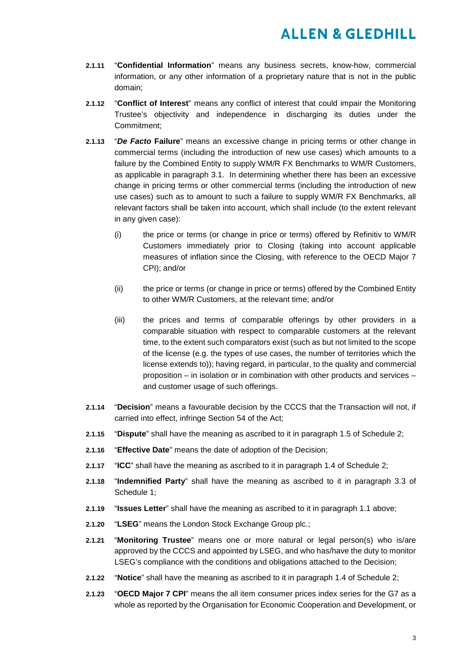- **2.1.11** "**Confidential Information**" means any business secrets, know-how, commercial information, or any other information of a proprietary nature that is not in the public domain;
- **2.1.12** "**Conflict of Interest**" means any conflict of interest that could impair the Monitoring Trustee's objectivity and independence in discharging its duties under the Commitment;
- **2.1.13** "*De Facto* **Failure**" means an excessive change in pricing terms or other change in commercial terms (including the introduction of new use cases) which amounts to a failure by the Combined Entity to supply WM/R FX Benchmarks to WM/R Customers, as applicable in paragraph 3.1. In determining whether there has been an excessive change in pricing terms or other commercial terms (including the introduction of new use cases) such as to amount to such a failure to supply WM/R FX Benchmarks, all relevant factors shall be taken into account, which shall include (to the extent relevant in any given case):
	- (i) the price or terms (or change in price or terms) offered by Refinitiv to WM/R Customers immediately prior to Closing (taking into account applicable measures of inflation since the Closing, with reference to the OECD Major 7 CPI); and/or
	- (ii) the price or terms (or change in price or terms) offered by the Combined Entity to other WM/R Customers, at the relevant time; and/or
	- (iii) the prices and terms of comparable offerings by other providers in a comparable situation with respect to comparable customers at the relevant time, to the extent such comparators exist (such as but not limited to the scope of the license (e.g. the types of use cases, the number of territories which the license extends to)); having regard, in particular, to the quality and commercial proposition – in isolation or in combination with other products and services – and customer usage of such offerings.
- **2.1.14** "**Decision**" means a favourable decision by the CCCS that the Transaction will not, if carried into effect, infringe Section 54 of the Act;
- **2.1.15** "**Dispute**" shall have the meaning as ascribed to it in paragraph 1.5 of Schedule 2;
- **2.1.16** "**Effective Date**" means the date of adoption of the Decision;
- **2.1.17** "**ICC**" shall have the meaning as ascribed to it in paragraph 1.4 of Schedule 2;
- **2.1.18** "**Indemnified Party**" shall have the meaning as ascribed to it in paragraph 3.3 of Schedule 1;
- **2.1.19** "**Issues Letter**" shall have the meaning as ascribed to it in paragraph 1.1 above;
- **2.1.20** "**LSEG**" means the London Stock Exchange Group plc.;
- **2.1.21** "**Monitoring Trustee**" means one or more natural or legal person(s) who is/are approved by the CCCS and appointed by LSEG, and who has/have the duty to monitor LSEG's compliance with the conditions and obligations attached to the Decision;
- **2.1.22** "**Notice**" shall have the meaning as ascribed to it in paragraph 1.4 of Schedule 2;
- **2.1.23** "**OECD Major 7 CPI**" means the all item consumer prices index series for the G7 as a whole as reported by the Organisation for Economic Cooperation and Development, or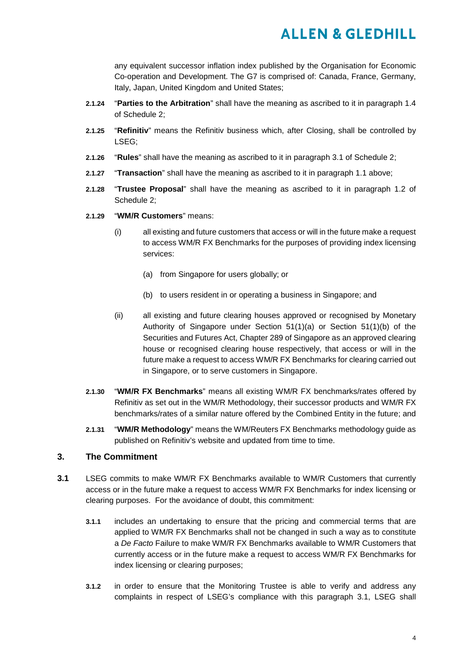any equivalent successor inflation index published by the Organisation for Economic Co-operation and Development. The G7 is comprised of: Canada, France, Germany, Italy, Japan, United Kingdom and United States;

- **2.1.24** "**Parties to the Arbitration**" shall have the meaning as ascribed to it in paragraph 1.4 of Schedule 2;
- **2.1.25** "**Refinitiv**" means the Refinitiv business which, after Closing, shall be controlled by LSEG;
- **2.1.26** "**Rules**" shall have the meaning as ascribed to it in paragraph 3.1 of Schedule 2;
- **2.1.27** "**Transaction**" shall have the meaning as ascribed to it in paragraph 1.1 above;
- **2.1.28** "**Trustee Proposal**" shall have the meaning as ascribed to it in paragraph 1.2 of Schedule 2;
- **2.1.29** "**WM/R Customers**" means:
	- (i) all existing and future customers that access or will in the future make a request to access WM/R FX Benchmarks for the purposes of providing index licensing services:
		- (a) from Singapore for users globally; or
		- (b) to users resident in or operating a business in Singapore; and
	- (ii) all existing and future clearing houses approved or recognised by Monetary Authority of Singapore under Section 51(1)(a) or Section 51(1)(b) of the Securities and Futures Act, Chapter 289 of Singapore as an approved clearing house or recognised clearing house respectively, that access or will in the future make a request to access WM/R FX Benchmarks for clearing carried out in Singapore, or to serve customers in Singapore.
- **2.1.30** "**WM/R FX Benchmarks**" means all existing WM/R FX benchmarks/rates offered by Refinitiv as set out in the WM/R Methodology, their successor products and WM/R FX benchmarks/rates of a similar nature offered by the Combined Entity in the future; and
- **2.1.31** "**WM/R Methodology**" means the WM/Reuters FX Benchmarks methodology guide as published on Refinitiv's website and updated from time to time.

#### **3. The Commitment**

- **3.1** LSEG commits to make WM/R FX Benchmarks available to WM/R Customers that currently access or in the future make a request to access WM/R FX Benchmarks for index licensing or clearing purposes. For the avoidance of doubt, this commitment:
	- **3.1.1** includes an undertaking to ensure that the pricing and commercial terms that are applied to WM/R FX Benchmarks shall not be changed in such a way as to constitute a *De Facto* Failure to make WM/R FX Benchmarks available to WM/R Customers that currently access or in the future make a request to access WM/R FX Benchmarks for index licensing or clearing purposes;
	- **3.1.2** in order to ensure that the Monitoring Trustee is able to verify and address any complaints in respect of LSEG's compliance with this paragraph 3.1, LSEG shall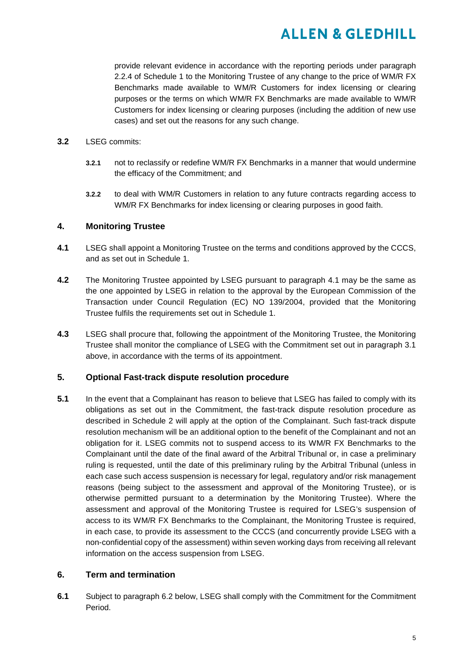provide relevant evidence in accordance with the reporting periods under paragraph 2.2.4 of Schedule 1 to the Monitoring Trustee of any change to the price of WM/R FX Benchmarks made available to WM/R Customers for index licensing or clearing purposes or the terms on which WM/R FX Benchmarks are made available to WM/R Customers for index licensing or clearing purposes (including the addition of new use cases) and set out the reasons for any such change.

#### **3.2** LSEG commits:

- **3.2.1** not to reclassify or redefine WM/R FX Benchmarks in a manner that would undermine the efficacy of the Commitment; and
- **3.2.2** to deal with WM/R Customers in relation to any future contracts regarding access to WM/R FX Benchmarks for index licensing or clearing purposes in good faith.

#### **4. Monitoring Trustee**

- **4.1** LSEG shall appoint a Monitoring Trustee on the terms and conditions approved by the CCCS, and as set out in Schedule 1.
- **4.2** The Monitoring Trustee appointed by LSEG pursuant to paragraph 4.1 may be the same as the one appointed by LSEG in relation to the approval by the European Commission of the Transaction under Council Regulation (EC) NO 139/2004, provided that the Monitoring Trustee fulfils the requirements set out in Schedule 1.
- **4.3** LSEG shall procure that, following the appointment of the Monitoring Trustee, the Monitoring Trustee shall monitor the compliance of LSEG with the Commitment set out in paragraph 3.1 above, in accordance with the terms of its appointment.

#### **5. Optional Fast-track dispute resolution procedure**

**5.1** In the event that a Complainant has reason to believe that LSEG has failed to comply with its obligations as set out in the Commitment, the fast-track dispute resolution procedure as described in Schedule 2 will apply at the option of the Complainant. Such fast-track dispute resolution mechanism will be an additional option to the benefit of the Complainant and not an obligation for it. LSEG commits not to suspend access to its WM/R FX Benchmarks to the Complainant until the date of the final award of the Arbitral Tribunal or, in case a preliminary ruling is requested, until the date of this preliminary ruling by the Arbitral Tribunal (unless in each case such access suspension is necessary for legal, regulatory and/or risk management reasons (being subject to the assessment and approval of the Monitoring Trustee), or is otherwise permitted pursuant to a determination by the Monitoring Trustee). Where the assessment and approval of the Monitoring Trustee is required for LSEG's suspension of access to its WM/R FX Benchmarks to the Complainant, the Monitoring Trustee is required, in each case, to provide its assessment to the CCCS (and concurrently provide LSEG with a non-confidential copy of the assessment) within seven working days from receiving all relevant information on the access suspension from LSEG.

#### **6. Term and termination**

**6.1** Subject to paragraph 6.2 below, LSEG shall comply with the Commitment for the Commitment Period.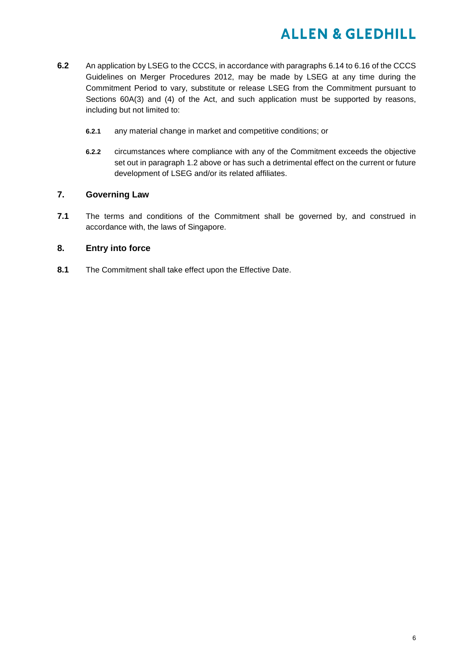- **6.2** An application by LSEG to the CCCS, in accordance with paragraphs 6.14 to 6.16 of the CCCS Guidelines on Merger Procedures 2012, may be made by LSEG at any time during the Commitment Period to vary, substitute or release LSEG from the Commitment pursuant to Sections 60A(3) and (4) of the Act, and such application must be supported by reasons, including but not limited to:
	- **6.2.1** any material change in market and competitive conditions; or
	- **6.2.2** circumstances where compliance with any of the Commitment exceeds the objective set out in paragraph 1.2 above or has such a detrimental effect on the current or future development of LSEG and/or its related affiliates.

#### **7. Governing Law**

**7.1** The terms and conditions of the Commitment shall be governed by, and construed in accordance with, the laws of Singapore.

#### **8. Entry into force**

**8.1** The Commitment shall take effect upon the Effective Date.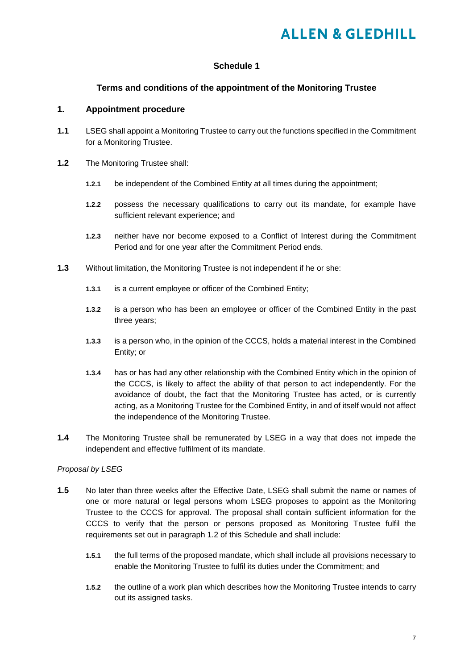#### **Schedule 1**

#### **Terms and conditions of the appointment of the Monitoring Trustee**

#### **1. Appointment procedure**

- **1.1** LSEG shall appoint a Monitoring Trustee to carry out the functions specified in the Commitment for a Monitoring Trustee.
- **1.2** The Monitoring Trustee shall:
	- **1.2.1** be independent of the Combined Entity at all times during the appointment;
	- **1.2.2** possess the necessary qualifications to carry out its mandate, for example have sufficient relevant experience; and
	- **1.2.3** neither have nor become exposed to a Conflict of Interest during the Commitment Period and for one year after the Commitment Period ends.
- **1.3** Without limitation, the Monitoring Trustee is not independent if he or she:
	- **1.3.1** is a current employee or officer of the Combined Entity;
	- **1.3.2** is a person who has been an employee or officer of the Combined Entity in the past three years;
	- **1.3.3** is a person who, in the opinion of the CCCS, holds a material interest in the Combined Entity; or
	- **1.3.4** has or has had any other relationship with the Combined Entity which in the opinion of the CCCS, is likely to affect the ability of that person to act independently. For the avoidance of doubt, the fact that the Monitoring Trustee has acted, or is currently acting, as a Monitoring Trustee for the Combined Entity, in and of itself would not affect the independence of the Monitoring Trustee.
- **1.4** The Monitoring Trustee shall be remunerated by LSEG in a way that does not impede the independent and effective fulfilment of its mandate.

#### *Proposal by LSEG*

- **1.5** No later than three weeks after the Effective Date, LSEG shall submit the name or names of one or more natural or legal persons whom LSEG proposes to appoint as the Monitoring Trustee to the CCCS for approval. The proposal shall contain sufficient information for the CCCS to verify that the person or persons proposed as Monitoring Trustee fulfil the requirements set out in paragraph 1.2 of this Schedule and shall include:
	- **1.5.1** the full terms of the proposed mandate, which shall include all provisions necessary to enable the Monitoring Trustee to fulfil its duties under the Commitment; and
	- **1.5.2** the outline of a work plan which describes how the Monitoring Trustee intends to carry out its assigned tasks.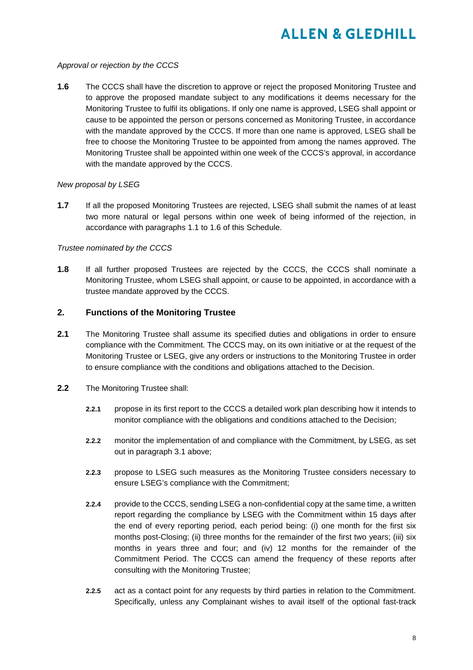#### *Approval or rejection by the CCCS*

**1.6** The CCCS shall have the discretion to approve or reject the proposed Monitoring Trustee and to approve the proposed mandate subject to any modifications it deems necessary for the Monitoring Trustee to fulfil its obligations. If only one name is approved, LSEG shall appoint or cause to be appointed the person or persons concerned as Monitoring Trustee, in accordance with the mandate approved by the CCCS. If more than one name is approved, LSEG shall be free to choose the Monitoring Trustee to be appointed from among the names approved. The Monitoring Trustee shall be appointed within one week of the CCCS's approval, in accordance with the mandate approved by the CCCS.

#### *New proposal by LSEG*

**1.7** If all the proposed Monitoring Trustees are rejected, LSEG shall submit the names of at least two more natural or legal persons within one week of being informed of the rejection, in accordance with paragraphs 1.1 to 1.6 of this Schedule.

#### *Trustee nominated by the CCCS*

**1.8** If all further proposed Trustees are rejected by the CCCS, the CCCS shall nominate a Monitoring Trustee, whom LSEG shall appoint, or cause to be appointed, in accordance with a trustee mandate approved by the CCCS.

#### **2. Functions of the Monitoring Trustee**

- **2.1** The Monitoring Trustee shall assume its specified duties and obligations in order to ensure compliance with the Commitment. The CCCS may, on its own initiative or at the request of the Monitoring Trustee or LSEG, give any orders or instructions to the Monitoring Trustee in order to ensure compliance with the conditions and obligations attached to the Decision.
- **2.2** The Monitoring Trustee shall:
	- **2.2.1** propose in its first report to the CCCS a detailed work plan describing how it intends to monitor compliance with the obligations and conditions attached to the Decision;
	- **2.2.2** monitor the implementation of and compliance with the Commitment, by LSEG, as set out in paragraph 3.1 above;
	- **2.2.3** propose to LSEG such measures as the Monitoring Trustee considers necessary to ensure LSEG's compliance with the Commitment;
	- **2.2.4** provide to the CCCS, sending LSEG a non-confidential copy at the same time, a written report regarding the compliance by LSEG with the Commitment within 15 days after the end of every reporting period, each period being: (i) one month for the first six months post-Closing; (ii) three months for the remainder of the first two years; (iii) six months in years three and four; and (iv) 12 months for the remainder of the Commitment Period. The CCCS can amend the frequency of these reports after consulting with the Monitoring Trustee;
	- **2.2.5** act as a contact point for any requests by third parties in relation to the Commitment. Specifically, unless any Complainant wishes to avail itself of the optional fast-track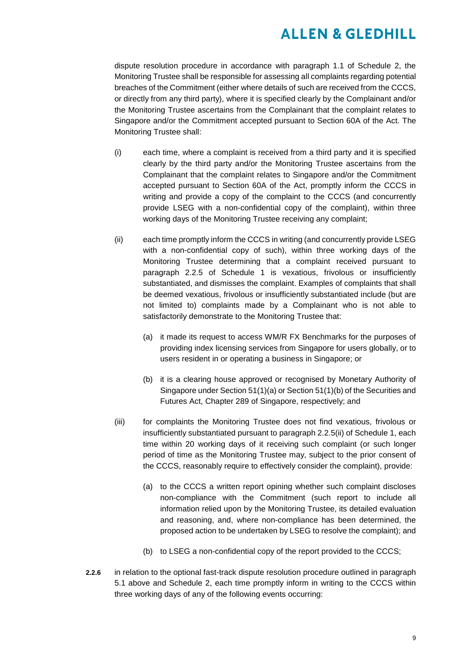dispute resolution procedure in accordance with paragraph 1.1 of Schedule 2, the Monitoring Trustee shall be responsible for assessing all complaints regarding potential breaches of the Commitment (either where details of such are received from the CCCS, or directly from any third party), where it is specified clearly by the Complainant and/or the Monitoring Trustee ascertains from the Complainant that the complaint relates to Singapore and/or the Commitment accepted pursuant to Section 60A of the Act. The Monitoring Trustee shall:

- (i) each time, where a complaint is received from a third party and it is specified clearly by the third party and/or the Monitoring Trustee ascertains from the Complainant that the complaint relates to Singapore and/or the Commitment accepted pursuant to Section 60A of the Act, promptly inform the CCCS in writing and provide a copy of the complaint to the CCCS (and concurrently provide LSEG with a non-confidential copy of the complaint), within three working days of the Monitoring Trustee receiving any complaint;
- (ii) each time promptly inform the CCCS in writing (and concurrently provide LSEG with a non-confidential copy of such), within three working days of the Monitoring Trustee determining that a complaint received pursuant to paragraph 2.2.5 of Schedule 1 is vexatious, frivolous or insufficiently substantiated, and dismisses the complaint. Examples of complaints that shall be deemed vexatious, frivolous or insufficiently substantiated include (but are not limited to) complaints made by a Complainant who is not able to satisfactorily demonstrate to the Monitoring Trustee that:
	- (a) it made its request to access WM/R FX Benchmarks for the purposes of providing index licensing services from Singapore for users globally, or to users resident in or operating a business in Singapore; or
	- (b) it is a clearing house approved or recognised by Monetary Authority of Singapore under Section 51(1)(a) or Section 51(1)(b) of the Securities and Futures Act, Chapter 289 of Singapore, respectively; and
- (iii) for complaints the Monitoring Trustee does not find vexatious, frivolous or insufficiently substantiated pursuant to paragraph 2.2.5(ii) of Schedule 1, each time within 20 working days of it receiving such complaint (or such longer period of time as the Monitoring Trustee may, subject to the prior consent of the CCCS, reasonably require to effectively consider the complaint), provide:
	- (a) to the CCCS a written report opining whether such complaint discloses non-compliance with the Commitment (such report to include all information relied upon by the Monitoring Trustee, its detailed evaluation and reasoning, and, where non-compliance has been determined, the proposed action to be undertaken by LSEG to resolve the complaint); and
	- (b) to LSEG a non-confidential copy of the report provided to the CCCS;
- **2.2.6** in relation to the optional fast-track dispute resolution procedure outlined in paragraph 5.1 above and Schedule 2, each time promptly inform in writing to the CCCS within three working days of any of the following events occurring: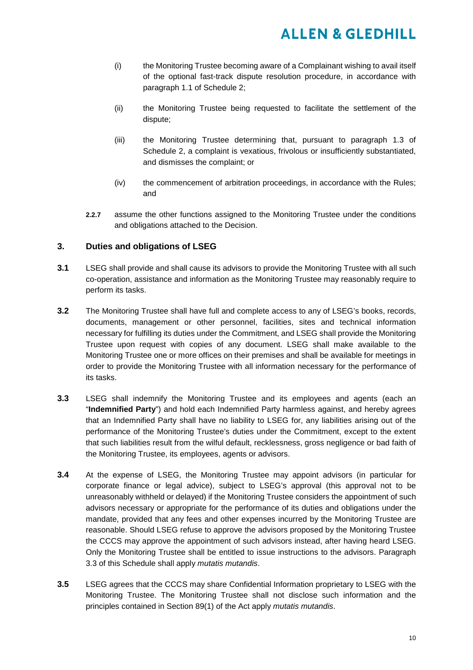- (i) the Monitoring Trustee becoming aware of a Complainant wishing to avail itself of the optional fast-track dispute resolution procedure, in accordance with paragraph 1.1 of Schedule 2;
- (ii) the Monitoring Trustee being requested to facilitate the settlement of the dispute;
- (iii) the Monitoring Trustee determining that, pursuant to paragraph 1.3 of Schedule 2, a complaint is vexatious, frivolous or insufficiently substantiated, and dismisses the complaint; or
- (iv) the commencement of arbitration proceedings, in accordance with the Rules; and
- **2.2.7** assume the other functions assigned to the Monitoring Trustee under the conditions and obligations attached to the Decision.

#### **3. Duties and obligations of LSEG**

- **3.1** LSEG shall provide and shall cause its advisors to provide the Monitoring Trustee with all such co-operation, assistance and information as the Monitoring Trustee may reasonably require to perform its tasks.
- **3.2** The Monitoring Trustee shall have full and complete access to any of LSEG's books, records, documents, management or other personnel, facilities, sites and technical information necessary for fulfilling its duties under the Commitment, and LSEG shall provide the Monitoring Trustee upon request with copies of any document. LSEG shall make available to the Monitoring Trustee one or more offices on their premises and shall be available for meetings in order to provide the Monitoring Trustee with all information necessary for the performance of its tasks.
- **3.3** LSEG shall indemnify the Monitoring Trustee and its employees and agents (each an "**Indemnified Party**") and hold each Indemnified Party harmless against, and hereby agrees that an Indemnified Party shall have no liability to LSEG for, any liabilities arising out of the performance of the Monitoring Trustee's duties under the Commitment, except to the extent that such liabilities result from the wilful default, recklessness, gross negligence or bad faith of the Monitoring Trustee, its employees, agents or advisors.
- **3.4** At the expense of LSEG, the Monitoring Trustee may appoint advisors (in particular for corporate finance or legal advice), subject to LSEG's approval (this approval not to be unreasonably withheld or delayed) if the Monitoring Trustee considers the appointment of such advisors necessary or appropriate for the performance of its duties and obligations under the mandate, provided that any fees and other expenses incurred by the Monitoring Trustee are reasonable. Should LSEG refuse to approve the advisors proposed by the Monitoring Trustee the CCCS may approve the appointment of such advisors instead, after having heard LSEG. Only the Monitoring Trustee shall be entitled to issue instructions to the advisors. Paragraph 3.3 of this Schedule shall apply *mutatis mutandis*.
- **3.5** LSEG agrees that the CCCS may share Confidential Information proprietary to LSEG with the Monitoring Trustee. The Monitoring Trustee shall not disclose such information and the principles contained in Section 89(1) of the Act apply *mutatis mutandis*.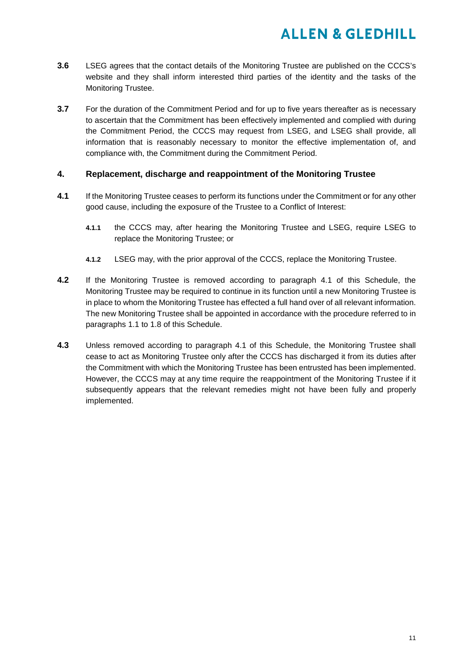- **3.6** LSEG agrees that the contact details of the Monitoring Trustee are published on the CCCS's website and they shall inform interested third parties of the identity and the tasks of the Monitoring Trustee.
- **3.7** For the duration of the Commitment Period and for up to five years thereafter as is necessary to ascertain that the Commitment has been effectively implemented and complied with during the Commitment Period, the CCCS may request from LSEG, and LSEG shall provide, all information that is reasonably necessary to monitor the effective implementation of, and compliance with, the Commitment during the Commitment Period.

#### **4. Replacement, discharge and reappointment of the Monitoring Trustee**

- **4.1** If the Monitoring Trustee ceases to perform its functions under the Commitment or for any other good cause, including the exposure of the Trustee to a Conflict of Interest:
	- **4.1.1** the CCCS may, after hearing the Monitoring Trustee and LSEG, require LSEG to replace the Monitoring Trustee; or
	- **4.1.2** LSEG may, with the prior approval of the CCCS, replace the Monitoring Trustee.
- **4.2** If the Monitoring Trustee is removed according to paragraph 4.1 of this Schedule, the Monitoring Trustee may be required to continue in its function until a new Monitoring Trustee is in place to whom the Monitoring Trustee has effected a full hand over of all relevant information. The new Monitoring Trustee shall be appointed in accordance with the procedure referred to in paragraphs 1.1 to 1.8 of this Schedule.
- **4.3** Unless removed according to paragraph 4.1 of this Schedule, the Monitoring Trustee shall cease to act as Monitoring Trustee only after the CCCS has discharged it from its duties after the Commitment with which the Monitoring Trustee has been entrusted has been implemented. However, the CCCS may at any time require the reappointment of the Monitoring Trustee if it subsequently appears that the relevant remedies might not have been fully and properly implemented.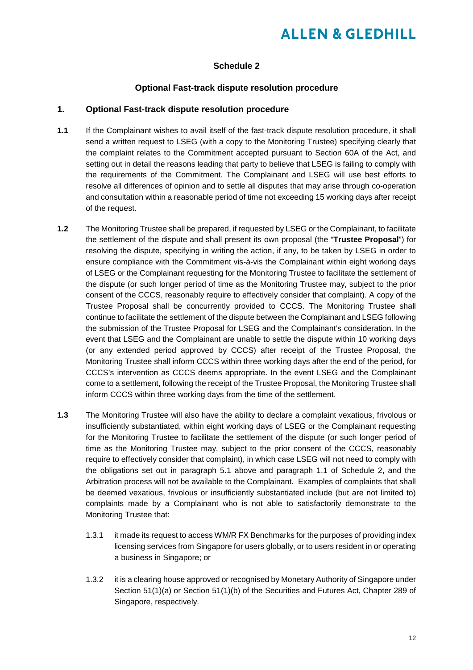#### **Schedule 2**

#### **Optional Fast-track dispute resolution procedure**

#### **1. Optional Fast-track dispute resolution procedure**

- **1.1** If the Complainant wishes to avail itself of the fast-track dispute resolution procedure, it shall send a written request to LSEG (with a copy to the Monitoring Trustee) specifying clearly that the complaint relates to the Commitment accepted pursuant to Section 60A of the Act, and setting out in detail the reasons leading that party to believe that LSEG is failing to comply with the requirements of the Commitment. The Complainant and LSEG will use best efforts to resolve all differences of opinion and to settle all disputes that may arise through co-operation and consultation within a reasonable period of time not exceeding 15 working days after receipt of the request.
- **1.2** The Monitoring Trustee shall be prepared, if requested by LSEG or the Complainant, to facilitate the settlement of the dispute and shall present its own proposal (the "**Trustee Proposal**") for resolving the dispute, specifying in writing the action, if any, to be taken by LSEG in order to ensure compliance with the Commitment vis-à-vis the Complainant within eight working days of LSEG or the Complainant requesting for the Monitoring Trustee to facilitate the settlement of the dispute (or such longer period of time as the Monitoring Trustee may, subject to the prior consent of the CCCS, reasonably require to effectively consider that complaint). A copy of the Trustee Proposal shall be concurrently provided to CCCS. The Monitoring Trustee shall continue to facilitate the settlement of the dispute between the Complainant and LSEG following the submission of the Trustee Proposal for LSEG and the Complainant's consideration. In the event that LSEG and the Complainant are unable to settle the dispute within 10 working days (or any extended period approved by CCCS) after receipt of the Trustee Proposal, the Monitoring Trustee shall inform CCCS within three working days after the end of the period, for CCCS's intervention as CCCS deems appropriate. In the event LSEG and the Complainant come to a settlement, following the receipt of the Trustee Proposal, the Monitoring Trustee shall inform CCCS within three working days from the time of the settlement.
- **1.3** The Monitoring Trustee will also have the ability to declare a complaint vexatious, frivolous or insufficiently substantiated, within eight working days of LSEG or the Complainant requesting for the Monitoring Trustee to facilitate the settlement of the dispute (or such longer period of time as the Monitoring Trustee may, subject to the prior consent of the CCCS, reasonably require to effectively consider that complaint), in which case LSEG will not need to comply with the obligations set out in paragraph 5.1 above and paragraph 1.1 of Schedule 2, and the Arbitration process will not be available to the Complainant. Examples of complaints that shall be deemed vexatious, frivolous or insufficiently substantiated include (but are not limited to) complaints made by a Complainant who is not able to satisfactorily demonstrate to the Monitoring Trustee that:
	- 1.3.1 it made its request to access WM/R FX Benchmarks for the purposes of providing index licensing services from Singapore for users globally, or to users resident in or operating a business in Singapore; or
	- 1.3.2 it is a clearing house approved or recognised by Monetary Authority of Singapore under Section 51(1)(a) or Section 51(1)(b) of the Securities and Futures Act, Chapter 289 of Singapore, respectively.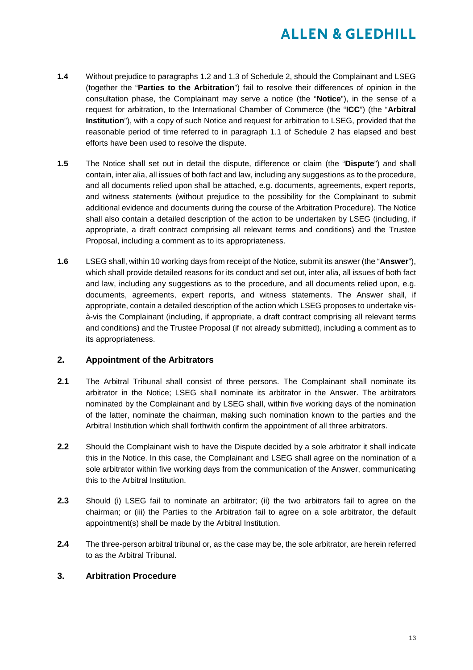- **1.4** Without prejudice to paragraphs 1.2 and 1.3 of Schedule 2, should the Complainant and LSEG (together the "**Parties to the Arbitration**") fail to resolve their differences of opinion in the consultation phase, the Complainant may serve a notice (the "**Notice**"), in the sense of a request for arbitration, to the International Chamber of Commerce (the "**ICC**") (the "**Arbitral Institution**"), with a copy of such Notice and request for arbitration to LSEG, provided that the reasonable period of time referred to in paragraph 1.1 of Schedule 2 has elapsed and best efforts have been used to resolve the dispute.
- **1.5** The Notice shall set out in detail the dispute, difference or claim (the "**Dispute**") and shall contain, inter alia, all issues of both fact and law, including any suggestions as to the procedure, and all documents relied upon shall be attached, e.g. documents, agreements, expert reports, and witness statements (without prejudice to the possibility for the Complainant to submit additional evidence and documents during the course of the Arbitration Procedure). The Notice shall also contain a detailed description of the action to be undertaken by LSEG (including, if appropriate, a draft contract comprising all relevant terms and conditions) and the Trustee Proposal, including a comment as to its appropriateness.
- **1.6** LSEG shall, within 10 working days from receipt of the Notice, submit its answer (the "**Answer**"), which shall provide detailed reasons for its conduct and set out, inter alia, all issues of both fact and law, including any suggestions as to the procedure, and all documents relied upon, e.g. documents, agreements, expert reports, and witness statements. The Answer shall, if appropriate, contain a detailed description of the action which LSEG proposes to undertake visà-vis the Complainant (including, if appropriate, a draft contract comprising all relevant terms and conditions) and the Trustee Proposal (if not already submitted), including a comment as to its appropriateness.

#### **2. Appointment of the Arbitrators**

- **2.1** The Arbitral Tribunal shall consist of three persons. The Complainant shall nominate its arbitrator in the Notice; LSEG shall nominate its arbitrator in the Answer. The arbitrators nominated by the Complainant and by LSEG shall, within five working days of the nomination of the latter, nominate the chairman, making such nomination known to the parties and the Arbitral Institution which shall forthwith confirm the appointment of all three arbitrators.
- **2.2** Should the Complainant wish to have the Dispute decided by a sole arbitrator it shall indicate this in the Notice. In this case, the Complainant and LSEG shall agree on the nomination of a sole arbitrator within five working days from the communication of the Answer, communicating this to the Arbitral Institution.
- **2.3** Should (i) LSEG fail to nominate an arbitrator; (ii) the two arbitrators fail to agree on the chairman; or (iii) the Parties to the Arbitration fail to agree on a sole arbitrator, the default appointment(s) shall be made by the Arbitral Institution.
- **2.4** The three-person arbitral tribunal or, as the case may be, the sole arbitrator, are herein referred to as the Arbitral Tribunal.

#### **3. Arbitration Procedure**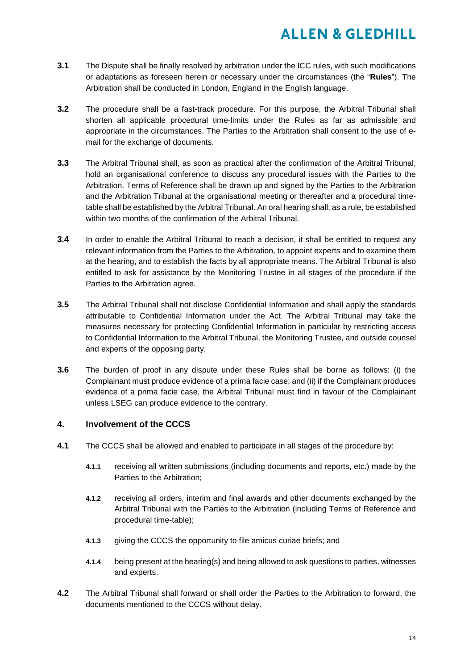- **3.1** The Dispute shall be finally resolved by arbitration under the ICC rules, with such modifications or adaptations as foreseen herein or necessary under the circumstances (the "**Rules**"). The Arbitration shall be conducted in London, England in the English language.
- **3.2** The procedure shall be a fast-track procedure. For this purpose, the Arbitral Tribunal shall shorten all applicable procedural time-limits under the Rules as far as admissible and appropriate in the circumstances. The Parties to the Arbitration shall consent to the use of email for the exchange of documents.
- **3.3** The Arbitral Tribunal shall, as soon as practical after the confirmation of the Arbitral Tribunal, hold an organisational conference to discuss any procedural issues with the Parties to the Arbitration. Terms of Reference shall be drawn up and signed by the Parties to the Arbitration and the Arbitration Tribunal at the organisational meeting or thereafter and a procedural timetable shall be established by the Arbitral Tribunal. An oral hearing shall, as a rule, be established within two months of the confirmation of the Arbitral Tribunal.
- **3.4** In order to enable the Arbitral Tribunal to reach a decision, it shall be entitled to request any relevant information from the Parties to the Arbitration, to appoint experts and to examine them at the hearing, and to establish the facts by all appropriate means. The Arbitral Tribunal is also entitled to ask for assistance by the Monitoring Trustee in all stages of the procedure if the Parties to the Arbitration agree.
- **3.5** The Arbitral Tribunal shall not disclose Confidential Information and shall apply the standards attributable to Confidential Information under the Act. The Arbitral Tribunal may take the measures necessary for protecting Confidential Information in particular by restricting access to Confidential Information to the Arbitral Tribunal, the Monitoring Trustee, and outside counsel and experts of the opposing party.
- **3.6** The burden of proof in any dispute under these Rules shall be borne as follows: (i) the Complainant must produce evidence of a prima facie case; and (ii) if the Complainant produces evidence of a prima facie case, the Arbitral Tribunal must find in favour of the Complainant unless LSEG can produce evidence to the contrary.

#### **4. Involvement of the CCCS**

- **4.1** The CCCS shall be allowed and enabled to participate in all stages of the procedure by:
	- **4.1.1** receiving all written submissions (including documents and reports, etc.) made by the Parties to the Arbitration;
	- **4.1.2** receiving all orders, interim and final awards and other documents exchanged by the Arbitral Tribunal with the Parties to the Arbitration (including Terms of Reference and procedural time-table);
	- **4.1.3** giving the CCCS the opportunity to file amicus curiae briefs; and
	- **4.1.4** being present at the hearing(s) and being allowed to ask questions to parties, witnesses and experts.
- **4.2** The Arbitral Tribunal shall forward or shall order the Parties to the Arbitration to forward, the documents mentioned to the CCCS without delay.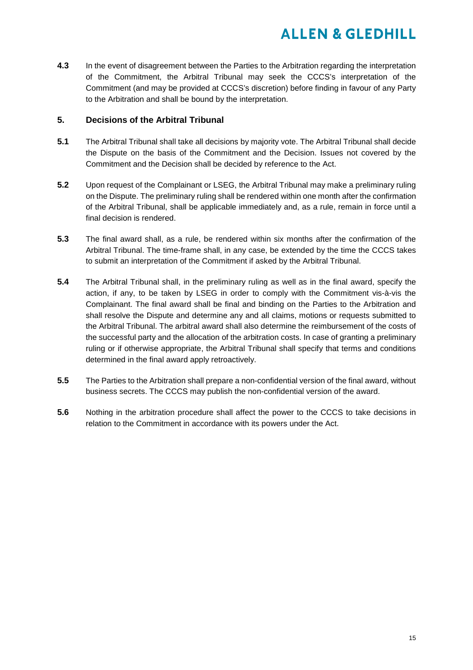**4.3** In the event of disagreement between the Parties to the Arbitration regarding the interpretation of the Commitment, the Arbitral Tribunal may seek the CCCS's interpretation of the Commitment (and may be provided at CCCS's discretion) before finding in favour of any Party to the Arbitration and shall be bound by the interpretation.

#### **5. Decisions of the Arbitral Tribunal**

- **5.1** The Arbitral Tribunal shall take all decisions by majority vote. The Arbitral Tribunal shall decide the Dispute on the basis of the Commitment and the Decision. Issues not covered by the Commitment and the Decision shall be decided by reference to the Act.
- **5.2** Upon request of the Complainant or LSEG, the Arbitral Tribunal may make a preliminary ruling on the Dispute. The preliminary ruling shall be rendered within one month after the confirmation of the Arbitral Tribunal, shall be applicable immediately and, as a rule, remain in force until a final decision is rendered.
- **5.3** The final award shall, as a rule, be rendered within six months after the confirmation of the Arbitral Tribunal. The time-frame shall, in any case, be extended by the time the CCCS takes to submit an interpretation of the Commitment if asked by the Arbitral Tribunal.
- **5.4** The Arbitral Tribunal shall, in the preliminary ruling as well as in the final award, specify the action, if any, to be taken by LSEG in order to comply with the Commitment vis-à-vis the Complainant. The final award shall be final and binding on the Parties to the Arbitration and shall resolve the Dispute and determine any and all claims, motions or requests submitted to the Arbitral Tribunal. The arbitral award shall also determine the reimbursement of the costs of the successful party and the allocation of the arbitration costs. In case of granting a preliminary ruling or if otherwise appropriate, the Arbitral Tribunal shall specify that terms and conditions determined in the final award apply retroactively.
- **5.5** The Parties to the Arbitration shall prepare a non-confidential version of the final award, without business secrets. The CCCS may publish the non-confidential version of the award.
- **5.6** Nothing in the arbitration procedure shall affect the power to the CCCS to take decisions in relation to the Commitment in accordance with its powers under the Act.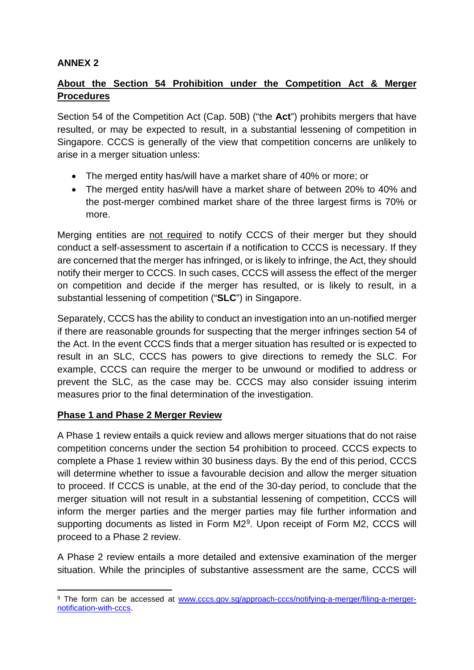## **ANNEX 2**

## **About the Section 54 Prohibition under the Competition Act & Merger Procedures**

Section 54 of the Competition Act (Cap. 50B) ("the **Act**") prohibits mergers that have resulted, or may be expected to result, in a substantial lessening of competition in Singapore. CCCS is generally of the view that competition concerns are unlikely to arise in a merger situation unless:

- The merged entity has/will have a market share of 40% or more; or
- The merged entity has/will have a market share of between 20% to 40% and the post-merger combined market share of the three largest firms is 70% or more.

Merging entities are not required to notify CCCS of their merger but they should conduct a self-assessment to ascertain if a notification to CCCS is necessary. If they are concerned that the merger has infringed, or is likely to infringe, the Act, they should notify their merger to CCCS. In such cases, CCCS will assess the effect of the merger on competition and decide if the merger has resulted, or is likely to result, in a substantial lessening of competition ("**SLC**") in Singapore.

Separately, CCCS has the ability to conduct an investigation into an un-notified merger if there are reasonable grounds for suspecting that the merger infringes section 54 of the Act. In the event CCCS finds that a merger situation has resulted or is expected to result in an SLC, CCCS has powers to give directions to remedy the SLC. For example, CCCS can require the merger to be unwound or modified to address or prevent the SLC, as the case may be. CCCS may also consider issuing interim measures prior to the final determination of the investigation.

## **Phase 1 and Phase 2 Merger Review**

A Phase 1 review entails a quick review and allows merger situations that do not raise competition concerns under the section 54 prohibition to proceed. CCCS expects to complete a Phase 1 review within 30 business days. By the end of this period, CCCS will determine whether to issue a favourable decision and allow the merger situation to proceed. If CCCS is unable, at the end of the 30-day period, to conclude that the merger situation will not result in a substantial lessening of competition, CCCS will inform the merger parties and the merger parties may file further information and supporting documents as listed in Form M2<sup>[9](#page-20-0)</sup>. Upon receipt of Form M2, CCCS will proceed to a Phase 2 review.

A Phase 2 review entails a more detailed and extensive examination of the merger situation. While the principles of substantive assessment are the same, CCCS will

<span id="page-20-0"></span><sup>9</sup> The form can be accessed at [www.cccs.gov.sg/approach-cccs/notifying-a-merger/filing-a-merger](http://www.cccs.gov.sg/approach-cccs/notifying-a-merger/filing-a-merger-notification-with-cccs)[notification-with-cccs.](http://www.cccs.gov.sg/approach-cccs/notifying-a-merger/filing-a-merger-notification-with-cccs)